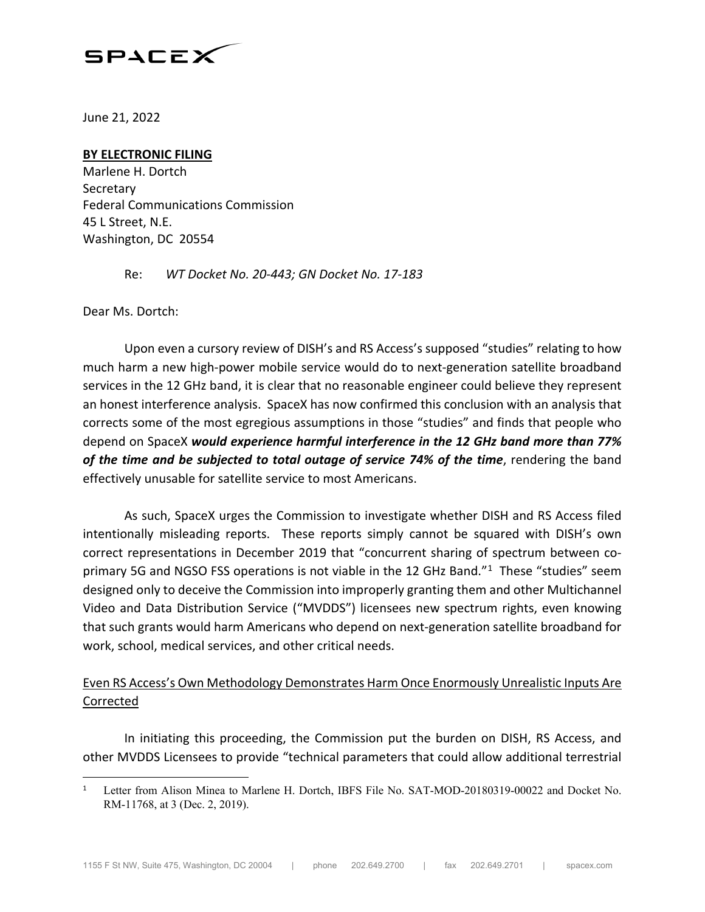

June 21, 2022

#### **BY ELECTRONIC FILING**

Marlene H. Dortch **Secretary** Federal Communications Commission 45 L Street, N.E. Washington, DC 20554

Re: *WT Docket No. 20-443; GN Docket No. 17-183*

Dear Ms. Dortch:

Upon even a cursory review of DISH's and RS Access's supposed "studies" relating to how much harm a new high-power mobile service would do to next-generation satellite broadband services in the 12 GHz band, it is clear that no reasonable engineer could believe they represent an honest interference analysis. SpaceX has now confirmed this conclusion with an analysis that corrects some of the most egregious assumptions in those "studies" and finds that people who depend on SpaceX *would experience harmful interference in the 12 GHz band more than 77%*  of the time and be subjected to total outage of service 74% of the time, rendering the band effectively unusable for satellite service to most Americans.

As such, SpaceX urges the Commission to investigate whether DISH and RS Access filed intentionally misleading reports. These reports simply cannot be squared with DISH's own correct representations in December 2019 that "concurrent sharing of spectrum between co-primary 5G and NGSO FSS operations is not viable in the [1](#page-0-0)2 GHz Band."<sup>1</sup> These "studies" seem designed only to deceive the Commission into improperly granting them and other Multichannel Video and Data Distribution Service ("MVDDS") licensees new spectrum rights, even knowing that such grants would harm Americans who depend on next-generation satellite broadband for work, school, medical services, and other critical needs.

### Even RS Access's Own Methodology Demonstrates Harm Once Enormously Unrealistic Inputs Are Corrected

In initiating this proceeding, the Commission put the burden on DISH, RS Access, and other MVDDS Licensees to provide "technical parameters that could allow additional terrestrial

<span id="page-0-0"></span> $\overline{a}$ <sup>1</sup> Letter from Alison Minea to Marlene H. Dortch, IBFS File No. SAT-MOD-20180319-00022 and Docket No. RM-11768, at 3 (Dec. 2, 2019).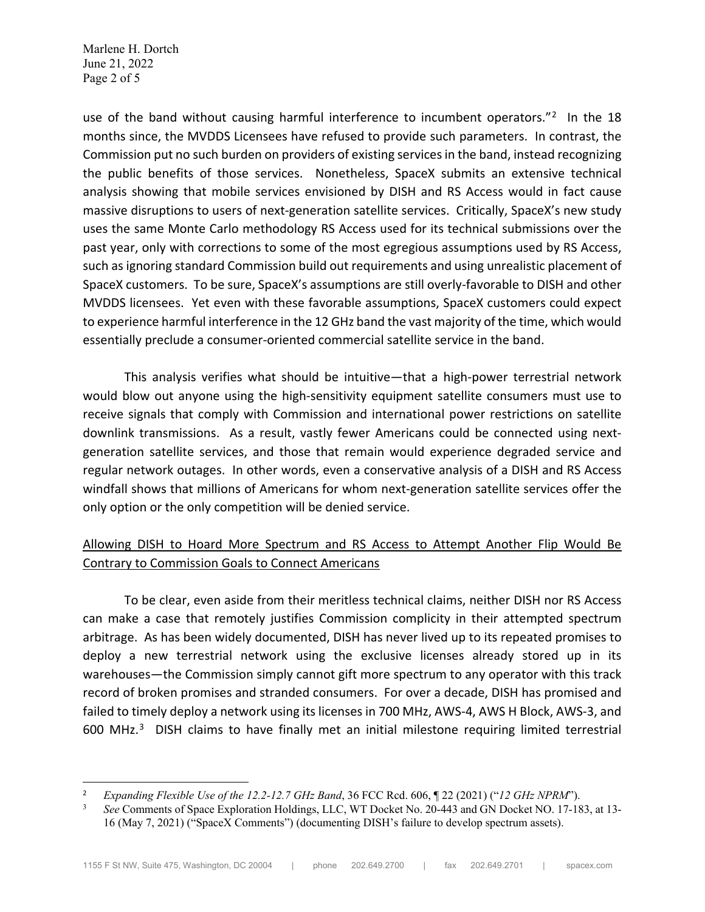Marlene H. Dortch June 21, 2022 Page 2 of 5

 $\overline{a}$ 

use of the band without causing harmful interference to incumbent operators."<sup>2</sup> In the 18 months since, the MVDDS Licensees have refused to provide such parameters. In contrast, the Commission put no such burden on providers of existing services in the band, instead recognizing the public benefits of those services. Nonetheless, SpaceX submits an extensive technical analysis showing that mobile services envisioned by DISH and RS Access would in fact cause massive disruptions to users of next-generation satellite services. Critically, SpaceX's new study uses the same Monte Carlo methodology RS Access used for its technical submissions over the past year, only with corrections to some of the most egregious assumptions used by RS Access, such as ignoring standard Commission build out requirements and using unrealistic placement of SpaceX customers. To be sure, SpaceX's assumptions are still overly-favorable to DISH and other MVDDS licensees. Yet even with these favorable assumptions, SpaceX customers could expect to experience harmful interference in the 12 GHz band the vast majority of the time, which would essentially preclude a consumer-oriented commercial satellite service in the band.

This analysis verifies what should be intuitive—that a high-power terrestrial network would blow out anyone using the high-sensitivity equipment satellite consumers must use to receive signals that comply with Commission and international power restrictions on satellite downlink transmissions. As a result, vastly fewer Americans could be connected using nextgeneration satellite services, and those that remain would experience degraded service and regular network outages. In other words, even a conservative analysis of a DISH and RS Access windfall shows that millions of Americans for whom next-generation satellite services offer the only option or the only competition will be denied service.

## Allowing DISH to Hoard More Spectrum and RS Access to Attempt Another Flip Would Be Contrary to Commission Goals to Connect Americans

To be clear, even aside from their meritless technical claims, neither DISH nor RS Access can make a case that remotely justifies Commission complicity in their attempted spectrum arbitrage. As has been widely documented, DISH has never lived up to its repeated promises to deploy a new terrestrial network using the exclusive licenses already stored up in its warehouses—the Commission simply cannot gift more spectrum to any operator with this track record of broken promises and stranded consumers. For over a decade, DISH has promised and failed to timely deploy a network using its licenses in 700 MHz, AWS-4, AWS H Block, AWS-3, and 600 MHz.<sup>[3](#page-1-1)</sup> DISH claims to have finally met an initial milestone requiring limited terrestrial

<span id="page-1-0"></span><sup>2</sup> *Expanding Flexible Use of the 12.2-12.7 GHz Band*, 36 FCC Rcd. 606, ¶ 22 (2021) ("*12 GHz NPRM*").

<span id="page-1-1"></span><sup>3</sup> *See* Comments of Space Exploration Holdings, LLC, WT Docket No. 20-443 and GN Docket NO. 17-183, at 13- 16 (May 7, 2021) ("SpaceX Comments") (documenting DISH's failure to develop spectrum assets).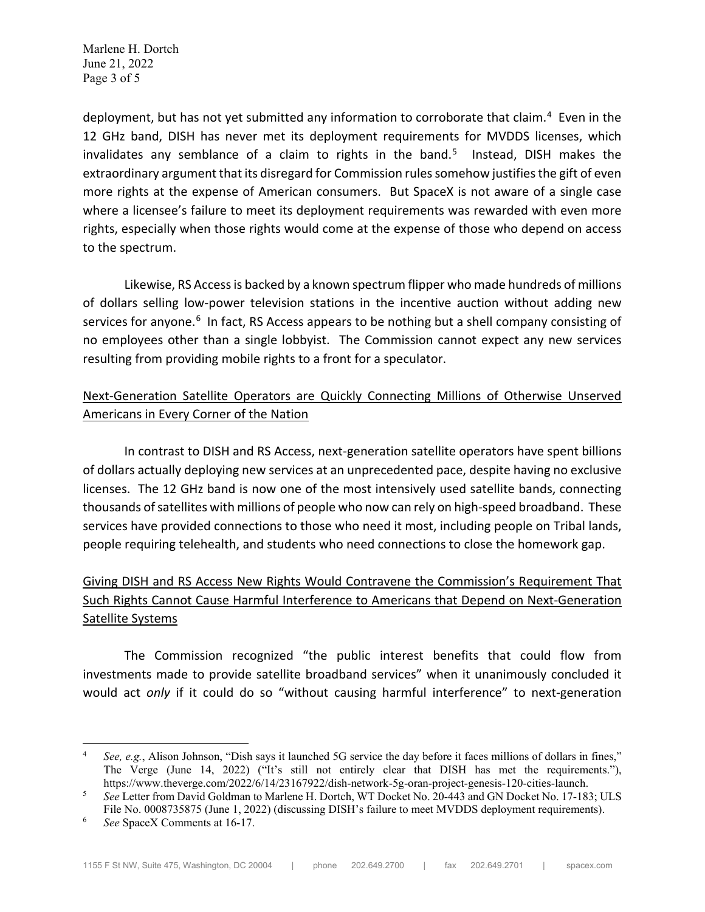Marlene H. Dortch June 21, 2022 Page 3 of 5

deployment, but has not yet submitted any information to corroborate that claim.<sup>[4](#page-2-0)</sup> Even in the 12 GHz band, DISH has never met its deployment requirements for MVDDS licenses, which invalidates any semblance of a claim to rights in the band.<sup>[5](#page-2-1)</sup> Instead, DISH makes the extraordinary argument that its disregard for Commission rules somehow justifies the gift of even more rights at the expense of American consumers. But SpaceX is not aware of a single case where a licensee's failure to meet its deployment requirements was rewarded with even more rights, especially when those rights would come at the expense of those who depend on access to the spectrum.

Likewise, RS Access is backed by a known spectrum flipper who made hundreds of millions of dollars selling low-power television stations in the incentive auction without adding new services for anyone.<sup>[6](#page-2-2)</sup> In fact, RS Access appears to be nothing but a shell company consisting of no employees other than a single lobbyist. The Commission cannot expect any new services resulting from providing mobile rights to a front for a speculator.

## Next-Generation Satellite Operators are Quickly Connecting Millions of Otherwise Unserved Americans in Every Corner of the Nation

In contrast to DISH and RS Access, next-generation satellite operators have spent billions of dollars actually deploying new services at an unprecedented pace, despite having no exclusive licenses. The 12 GHz band is now one of the most intensively used satellite bands, connecting thousands of satellites with millions of people who now can rely on high-speed broadband. These services have provided connections to those who need it most, including people on Tribal lands, people requiring telehealth, and students who need connections to close the homework gap.

# Giving DISH and RS Access New Rights Would Contravene the Commission's Requirement That Such Rights Cannot Cause Harmful Interference to Americans that Depend on Next-Generation Satellite Systems

The Commission recognized "the public interest benefits that could flow from investments made to provide satellite broadband services" when it unanimously concluded it would act *only* if it could do so "without causing harmful interference" to next-generation

<span id="page-2-0"></span> <sup>4</sup> *See, e.g.*, Alison Johnson, "Dish says it launched 5G service the day before it faces millions of dollars in fines," The Verge (June 14, 2022) ("It's still not entirely clear that DISH has met the requirements."), https://www.theverge.com/2022/6/14/23167922/dish-network-5g-oran-project-genesis-120-cities-launch.

<span id="page-2-1"></span><sup>5</sup> *See* Letter from David Goldman to Marlene H. Dortch, WT Docket No. 20-443 and GN Docket No. 17-183; ULS File No. 0008735875 (June 1, 2022) (discussing DISH's failure to meet MVDDS deployment requirements).

<span id="page-2-2"></span><sup>6</sup> *See* SpaceX Comments at 16-17.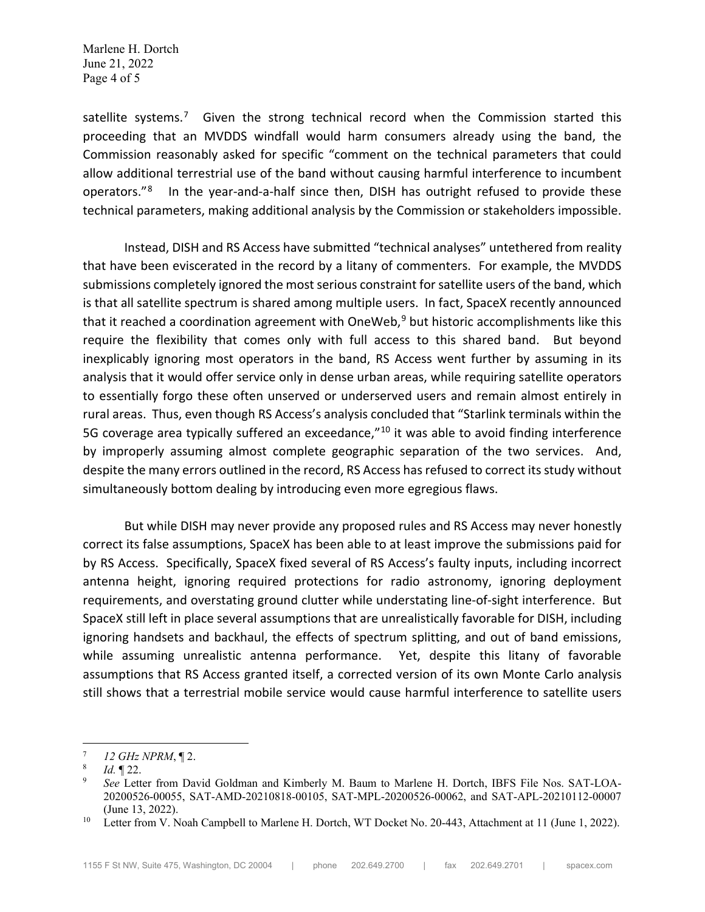Marlene H. Dortch June 21, 2022 Page 4 of 5

satellite systems.<sup>7</sup> Given the strong technical record when the Commission started this proceeding that an MVDDS windfall would harm consumers already using the band, the Commission reasonably asked for specific "comment on the technical parameters that could allow additional terrestrial use of the band without causing harmful interference to incumbent operators."[8](#page-3-1) In the year-and-a-half since then, DISH has outright refused to provide these technical parameters, making additional analysis by the Commission or stakeholders impossible.

Instead, DISH and RS Access have submitted "technical analyses" untethered from reality that have been eviscerated in the record by a litany of commenters. For example, the MVDDS submissions completely ignored the most serious constraint for satellite users of the band, which is that all satellite spectrum is shared among multiple users. In fact, SpaceX recently announced that it reached a coordination agreement with OneWeb, $9$  but historic accomplishments like this require the flexibility that comes only with full access to this shared band. But beyond inexplicably ignoring most operators in the band, RS Access went further by assuming in its analysis that it would offer service only in dense urban areas, while requiring satellite operators to essentially forgo these often unserved or underserved users and remain almost entirely in rural areas. Thus, even though RS Access's analysis concluded that "Starlink terminals within the 5G coverage area typically suffered an exceedance,"<sup>[10](#page-3-3)</sup> it was able to avoid finding interference by improperly assuming almost complete geographic separation of the two services. And, despite the many errors outlined in the record, RS Access has refused to correct its study without simultaneously bottom dealing by introducing even more egregious flaws.

But while DISH may never provide any proposed rules and RS Access may never honestly correct its false assumptions, SpaceX has been able to at least improve the submissions paid for by RS Access. Specifically, SpaceX fixed several of RS Access's faulty inputs, including incorrect antenna height, ignoring required protections for radio astronomy, ignoring deployment requirements, and overstating ground clutter while understating line-of-sight interference. But SpaceX still left in place several assumptions that are unrealistically favorable for DISH, including ignoring handsets and backhaul, the effects of spectrum splitting, and out of band emissions, while assuming unrealistic antenna performance. Yet, despite this litany of favorable assumptions that RS Access granted itself, a corrected version of its own Monte Carlo analysis still shows that a terrestrial mobile service would cause harmful interference to satellite users

<span id="page-3-0"></span> $^{7}$  *12 GHz NPRM*,  $\P$  2.

<span id="page-3-1"></span> $\frac{8}{9}$  *Id.* 122.

<span id="page-3-2"></span><sup>9</sup> *See* Letter from David Goldman and Kimberly M. Baum to Marlene H. Dortch, IBFS File Nos. SAT-LOA-20200526-00055, SAT-AMD-20210818-00105, SAT-MPL-20200526-00062, and SAT-APL-20210112-00007 (June 13, 2022).

<span id="page-3-3"></span><sup>&</sup>lt;sup>10</sup> Letter from V. Noah Campbell to Marlene H. Dortch, WT Docket No. 20-443, Attachment at 11 (June 1, 2022).